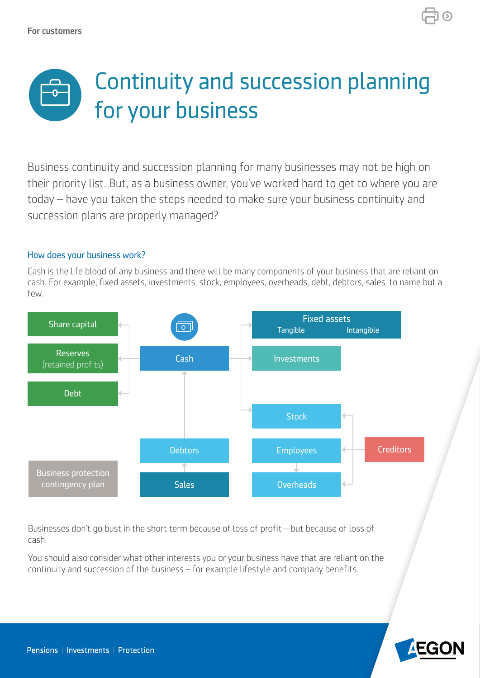

Business continuity and succession planning for many businesses may not be high on their priority list. But, as a business owner, you've worked hard to get to where you are today – have you taken the steps needed to make sure your business continuity and succession plans are properly managed?

## How does your business work?

Cash is the life blood of any business and there will be many components of your business that are reliant on cash. For example, fixed assets, investments, stock, employees, overheads, debt, debtors, sales, to name but a few.



Businesses don't go bust in the short term because of loss of proft – but because of loss of cash.

You should also consider what other interests you or your business have that are reliant on the continuity and succession of the business – for example lifestyle and company benefits.

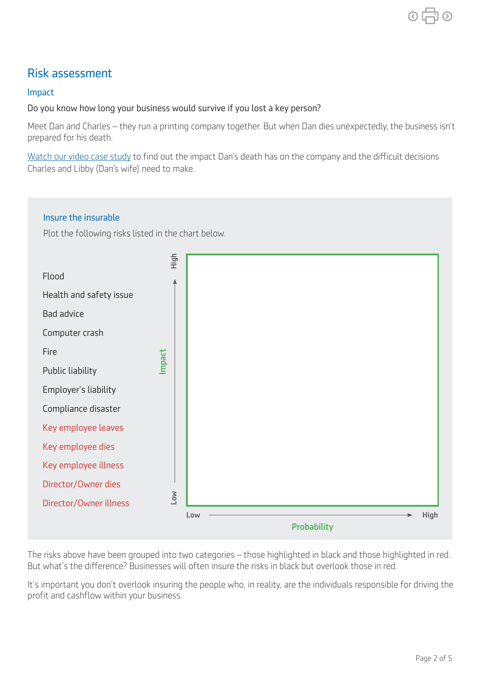## Risk assessment

## Impact

## Do you know how long your business would survive if you lost a key person?

Meet Dan and Charles – they run a printing company together. But when Dan dies unexpectedly, the business isn't prepared for his death.

[Watch our video case study](https://www.youtube.com/watch?v=Ar68O35TvRc) to find out the impact Dan's death has on the company and the difficult decisions Charles and Libby (Dan's wife) need to make.

# Insure the insurable Plot the following risks listed in the chart below. Flood Health and safety issue Bad advice Computer crash Fire Public liability Employer's liability Compliance disaster Key employee leaves Key employee dies Key employee illness Director/Owner dies Director/Owner illness  $Low$   $\longrightarrow$  High **Probability** Flood<br>
Health and safety issue<br>
Bad advice<br>
Computer crash<br>
Fire<br>
Public liability<br>
Employer's liability<br>
Compliance disaster<br>
Key employee leaves<br>
Key employee dies<br>
Key employee dies<br>
Key employee illness<br>
Director/Owner

The risks above have been grouped into two categories – those highlighted in black and those highlighted in red. But what's the diference? Businesses will often insure the risks in black but overlook those in red.

It's important you don't overlook insuring the people who, in reality, are the individuals responsible for driving the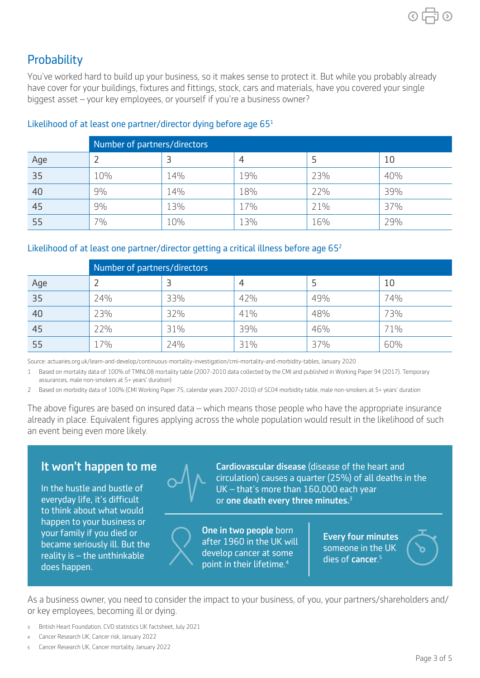You've worked hard to build up your business, so it makes sense to protect it. But while you probably already have cover for your buildings, fixtures and fittings, stock, cars and materials, have you covered your single biggest asset – your key employees, or yourself if you're a business owner?

|     | Number of partners/directors |     |     |     |     |  |  |
|-----|------------------------------|-----|-----|-----|-----|--|--|
| Age |                              |     | 4   | Ь   | 10  |  |  |
| 35  | 10%                          | 14% | 19% | 23% | 40% |  |  |
| 40  | $9\%$                        | 14% | 18% | 22% | 39% |  |  |
| 45  | 9%                           | 13% | 17% | 21% | 37% |  |  |
| 55  | 7%                           | 10% | 13% | 16% | 29% |  |  |

## Likelihood of at least one partner/director dying before age  $65<sup>1</sup>$

### Likelihood of at least one partner/director getting a critical illness before age 65<sup>2</sup>

|     | Number of partners/directors |     |     |     |     |  |  |
|-----|------------------------------|-----|-----|-----|-----|--|--|
| Age |                              |     | 4   |     | 10  |  |  |
| 35  | 24%                          | 33% | 42% | 49% | 74% |  |  |
| 40  | 23%                          | 32% | 41% | 48% | 73% |  |  |
| 45  | 22%                          | 31% | 39% | 46% | 71% |  |  |
| 55  | 17%                          | 24% | 31% | 37% | 60% |  |  |

Source: actuaries.org.uk/learn-and-develop/continuous-mortality-investigation/cmi-mortality-and-morbidity-tables, January 2020

 1 Based on mortality data of 100% of TMNL08 mortality table (2007-2010 data collected by the CMI and published in Working Paper 94 (2017). Temporary assurances, male non-smokers at 5+ years' duration)

2 Based on morbidity data of 100% (CMI Working Paper 75, calendar years 2007-2010) of SC04 morbidity table, male non-smokers at 5+ years' duration

The above figures are based on insured data – which means those people who have the appropriate insurance already in place. Equivalent figures applying across the whole population would result in the likelihood of such an event being even more likely.

to think about what would happen to your business or<br>
your family if you died or<br>
became seriously ill. But the<br>
reality is – the unthinkable<br>
reality is – the unthinkable<br>
reality is – the unthinkable<br>
noint in their lifetime 4<br>
noint in their li does happen.



It won't happen to me A Cardiovascular disease (disease of the heart and circulation) causes a quarter (25%) of all deaths in the In the hustle and bustle of  $V = \sqrt{1 - UK - H}$  and  $V = H$  and  $H$  and  $H$  is more than 160,000 each year everyday life, it's difficult  $\mathbf{V}$  or one death every three minutes.<sup>3</sup>

point in their lifetime.<sup>4</sup>

dies of cancer.<sup>5</sup>

As a business owner, you need to consider the impact to your business, of you, your partners/shareholders and/ or key employees, becoming ill or dying.

- ₃ British Heart Foundation, CVD statistics UK factsheet, July 2021
- ₄ Cancer Research UK, Cancer risk, January 2022
- ₅ Cancer Research UK, Cancer mortality, January 2022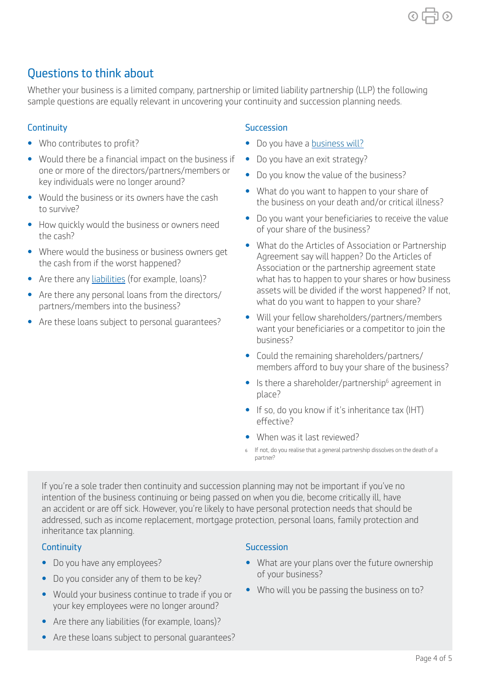## Questions to think about

Whether your business is a limited company, partnership or limited liability partnership (LLP) the following sample questions are equally relevant in uncovering your continuity and succession planning needs.

- 
- Would there be a financial impact on the business if Do you have an exit strategy?
- 
- 
- 
- 
- 
- 

## **Continuity** Succession

- Who contributes to profit? Contributes to profit? Do you have a [business will?](https://www.aegon.co.uk/content/dam/ukpaw/documents/Business-intestacy-risk.pdf)
	-
	-
	-
	-
- one or more of the directors/partners/members or<br>
No you know the value of the business?<br>
Not do you want to happen to your share of<br>
to survive?<br>
Not do you want to happen to your share of<br>
to survive?<br>
No you want your • Are there any [liabilities](https://www.aegon.co.uk/content/dam/ukpaw/documents/business-protection-liability-audit.pdf) (for example, loans)? what has to happen to your shares or how business assets will be divided if the worst happened? If not, • Are there any personal loans from the directors/ what do you want to happen to your share? partners/members into the business?
- Are these loans subject to personal guarantees? Will your fellow shareholders/partners/members<br>want your beneficiaries or a competitor to join the business?
	- Could the remaining shareholders/partners/ members afford to buy your share of the business?
	- $\bullet$  Is there a shareholder/partnership<sup>6</sup> agreement in place?
	- If so, do you know if it's inheritance tax (IHT) efective?
	- When was it last reviewed?
	- ₆ If not, do you realise that a general partnership dissolves on the death of a partner?

If you're a sole trader then continuity and succession planning may not be important if you've no intention of the business continuing or being passed on when you die, become critically ill, have an accident or are off sick. However, you're likely to have personal protection needs that should be addressed, such as income replacement, mortgage protection, personal loans, family protection and inheritance tax planning.

- 
- Do you consider any of them to be key? of your business?
- Would your business continue to trade if you or Who will you be passing the business on to? your key employees were no longer around?
- Are there any liabilities (for example, loans)?
- Are these loans subject to personal guarantees?

## **Continuity** Succession

- Do you have any employees? • What are your plans over the future ownership
	-